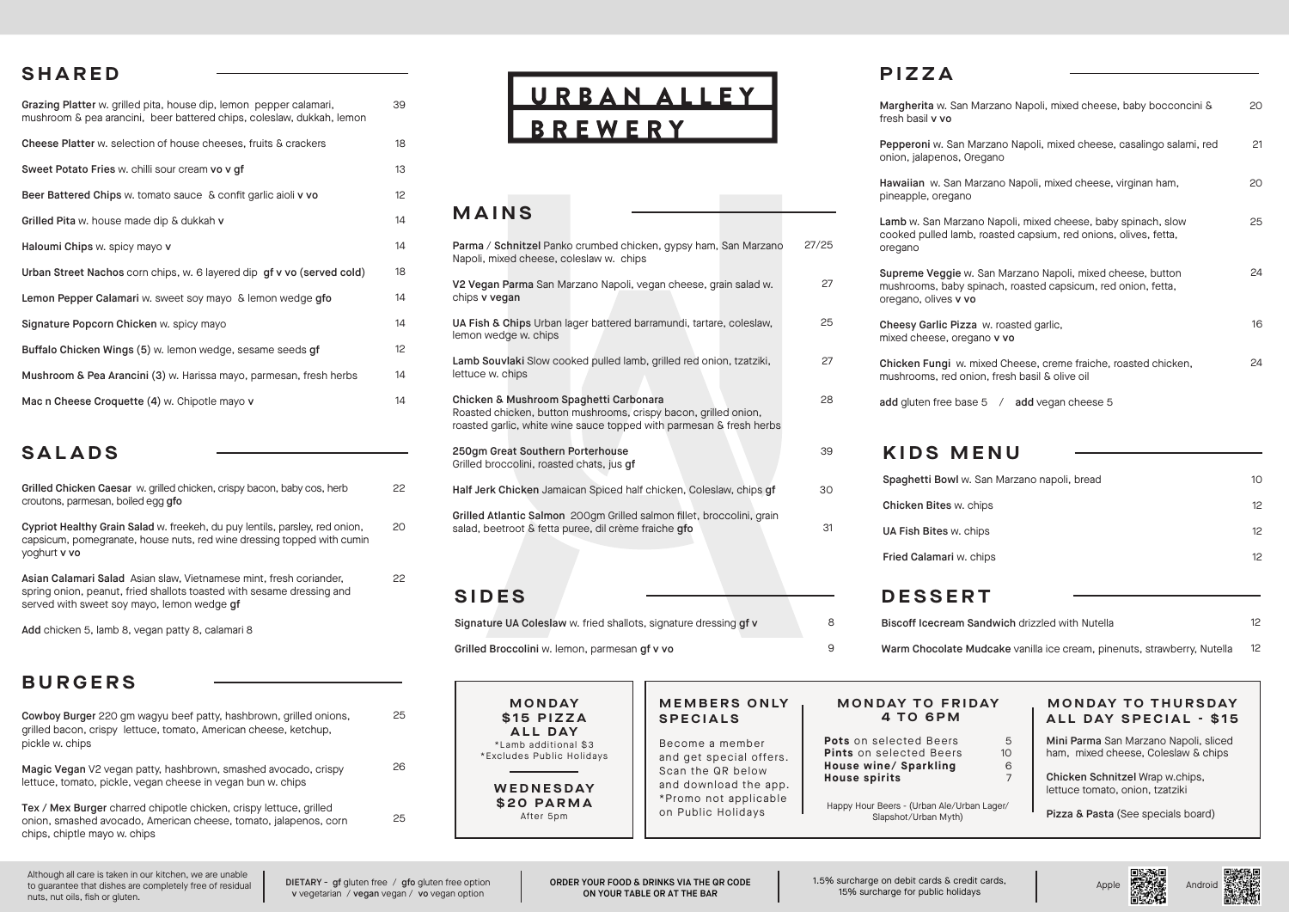#### **SHARED**

| Grazing Platter w. grilled pita, house dip, lemon pepper calamari,<br>mushroom & pea arancini, beer battered chips, coleslaw, dukkah, lemon | 39 |
|---------------------------------------------------------------------------------------------------------------------------------------------|----|
| Cheese Platter w. selection of house cheeses, fruits & crackers                                                                             | 18 |
| Sweet Potato Fries w. chilli sour cream vo v qf                                                                                             | 13 |
| Beer Battered Chips w. tomato sauce & confit garlic aioli v vo                                                                              | 12 |
| Grilled Pita w. house made dip & dukkah v                                                                                                   | 14 |
| Haloumi Chips w. spicy mayo v                                                                                                               | 14 |
| Urban Street Nachos corn chips, w. 6 layered dip gf v vo (served cold)                                                                      | 18 |
| Lemon Pepper Calamari w. sweet soy mayo & lemon wedge gfo                                                                                   | 14 |
| Signature Popcorn Chicken w. spicy mayo                                                                                                     | 14 |
| Buffalo Chicken Wings (5) w. lemon wedge, sesame seeds gf                                                                                   | 12 |
| Mushroom & Pea Arancini (3) w. Harissa mayo, parmesan, fresh herbs                                                                          | 14 |
| Mac n Cheese Croquette (4) w. Chipotle mayo v                                                                                               | 14 |

#### **SALADS**

| Grilled Chicken Caesar w. grilled chicken, crispy bacon, baby cos, herb<br>croutons, parmesan, boiled egg qfo                                                                             |
|-------------------------------------------------------------------------------------------------------------------------------------------------------------------------------------------|
| Cypriot Healthy Grain Salad w. freekeh, du puy lentils, parsley, red onion,<br>capsicum, pomegranate, house nuts, red wine dressing topped with cumin<br>yoghurt v vo                     |
| Asian Calamari Salad Asian slaw, Vietnamese mint, fresh coriander,<br>spring onion, peanut, fried shallots toasted with sesame dressing and<br>served with sweet soy mayo, lemon wedge qf |
| Add chicken 5, lamb 8, vegan patty 8, calamari 8                                                                                                                                          |

### **BURGERS**

| Cowboy Burger 220 gm wagyu beef patty, hashbrown, grilled onions,<br>grilled bacon, crispy lettuce, tomato, American cheese, ketchup,<br>pickle w. chips               | 25 |
|------------------------------------------------------------------------------------------------------------------------------------------------------------------------|----|
| Magic Vegan V2 vegan patty, hashbrown, smashed avocado, crispy<br>lettuce, tomato, pickle, vegan cheese in vegan bun w. chips                                          | 26 |
| Tex / Mex Burger charred chipotle chicken, crispy lettuce, grilled<br>onion, smashed avocado, American cheese, tomato, jalapenos, corn<br>chips, chiptle mayo w. chips | 25 |

# URBAN ALLEY **BREWERY**

| <b>MAINS</b>                                                                                                                                                                     |       |
|----------------------------------------------------------------------------------------------------------------------------------------------------------------------------------|-------|
|                                                                                                                                                                                  |       |
| Parma / Schnitzel Panko crumbed chicken, gypsy ham, San Marzano<br>Napoli, mixed cheese, coleslaw w. chips                                                                       | 27/25 |
| V2 Vegan Parma San Marzano Napoli, vegan cheese, grain salad w.<br>chips v vegan                                                                                                 | 27    |
| UA Fish & Chips Urban lager battered barramundi, tartare, coleslaw,<br>lemon wedge w. chips                                                                                      | 25    |
| Lamb Souvlaki Slow cooked pulled lamb, grilled red onion, tzatziki,<br>lettuce w. chips                                                                                          | 27    |
| Chicken & Mushroom Spaghetti Carbonara<br>Roasted chicken, button mushrooms, crispy bacon, grilled onion,<br>roasted garlic, white wine sauce topped with parmesan & fresh herbs | 28    |
| 250qm Great Southern Porterhouse<br>Grilled broccolini, roasted chats, jus gf                                                                                                    | 39    |
| Half Jerk Chicken Jamaican Spiced half chicken, Coleslaw, chips gf                                                                                                               | 30    |
| Grilled Atlantic Salmon 200gm Grilled salmon fillet, broccolini, grain<br>salad, beetroot & fetta puree, dil crème fraiche gfo                                                   | 31    |
|                                                                                                                                                                                  |       |
| SIDES                                                                                                                                                                            |       |

Signature UA Coleslaw w. fried shallots, signature dressing gf v

Grilled Broccolini w. lemon, parmesan gf v vo

**MONDAY \$15 PIZZA ALL DAY** \*Lamb additional \$3 \*Excludes Public Holidays **WEDNESDAY**

> **\$20 PARMA** After 5pm

#### **M E M B E R S O N LY SPECIALS**

Become a member and get special offers. Scan the QR below and download the app. \*Promo not applicable on Public Holidays

#### **MONDAY TO FRIDAY 4 TO 6PM**

| <b>Pots</b> on selected Beers  |
|--------------------------------|
| <b>Pints</b> on selected Beers |
| House wine/ Sparkling          |
| <b>House spirits</b>           |
|                                |

8 9

Happy Hour Beers - (Urban Ale/Urban Lager/ Slapshot/Urban Myth)

## **PIZZA**

| Margherita w. San Marzano Napoli, mixed cheese, baby bocconcini &<br>fresh basil v vo                                                              | 20 |
|----------------------------------------------------------------------------------------------------------------------------------------------------|----|
| Pepperoni w. San Marzano Napoli, mixed cheese, casalingo salami, red<br>onion, jalapenos, Oregano                                                  | 21 |
| Hawaiian w. San Marzano Napoli, mixed cheese, virginan ham,<br>pineapple, oregano                                                                  | 20 |
| Lamb w. San Marzano Napoli, mixed cheese, baby spinach, slow<br>cooked pulled lamb, roasted capsium, red onions, olives, fetta,<br>oregano         | 25 |
| Supreme Veggie w. San Marzano Napoli, mixed cheese, button<br>mushrooms, baby spinach, roasted capsicum, red onion, fetta,<br>oregano, olives v vo | 24 |
| Cheesy Garlic Pizza w. roasted garlic,<br>mixed cheese, oregano v vo                                                                               | 16 |
| Chicken Fungi w. mixed Cheese, creme fraiche, roasted chicken,<br>mushrooms, red onion, fresh basil & olive oil                                    | 24 |
| add gluten free base 5 / add vegan cheese 5                                                                                                        |    |
| <b>KIDS MENU</b>                                                                                                                                   |    |
|                                                                                                                                                    |    |
| Spaghetti Bowl w. San Marzano napoli, bread                                                                                                        | 10 |
| Chicken Bites w. chips                                                                                                                             | 12 |
| UA Fish Bites w. chips                                                                                                                             | 12 |
| Fried Calamari w. chips                                                                                                                            | 12 |
| <b>DESSERT</b>                                                                                                                                     |    |
| Biscoff Icecream Sandwich drizzled with Nutella                                                                                                    | 12 |
| Warm Chocolate Mudcake vanilla ice cream, pinenuts, strawberry, Nutella                                                                            | 12 |
|                                                                                                                                                    |    |

## **MONDAY TO THURSDAY ALL DAY SPECIAL - \$15**

Mini Parma San Marzano Napoli, sliced ham, mixed cheese, Coleslaw & chips

Chicken Schnitzel Wrap w.chips, lettuce tomato, onion, tzatziki

Pizza & Pasta (See specials board)

Although all care is taken in our kitchen, we are unable to guarantee that dishes are completely free of residual nuts, nut oils, fish or gluten.

DIETARY - gf gluten free / gfo gluten free option v vegetarian / vegan vegan / vo vegan option

22

 $20$ 

22

ORDER YOUR FOOD & DRINKS VIA THE QR CODE ON YOUR TABLE OR AT THE BAR

1.5% surcharge on debit cards & credit cards, 15% surcharge for public holidays